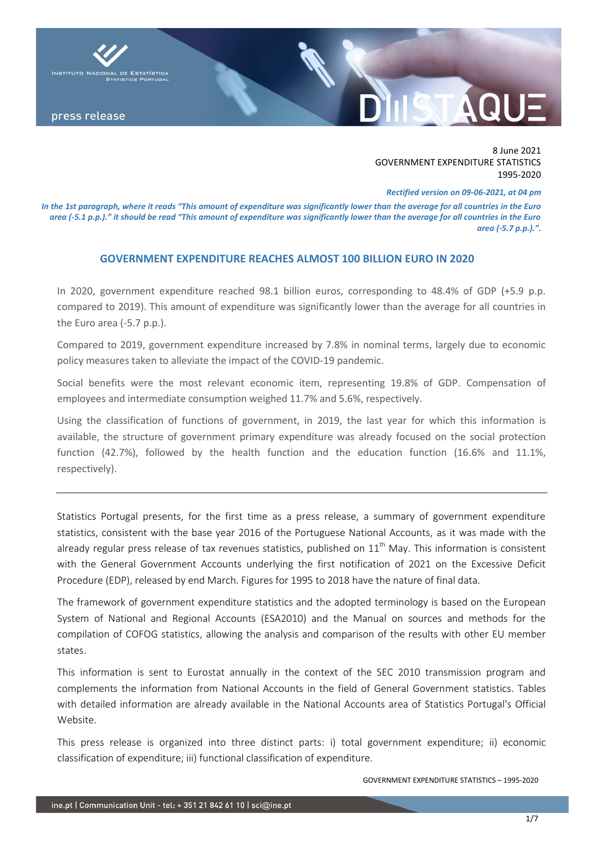

8 June 2021 GOVERNMENT EXPENDITURE STATISTICS 1995-2020

*Rectified version on 09-06-2021, at 04 pm*

*In the 1st paragraph, where it reads "This amount of expenditure was significantly lower than the average for all countries in the Euro area (-5.1 p.p.)." it should be read "This amount of expenditure was significantly lower than the average for all countries in the Euro area (-5.7 p.p.).".*

## **GOVERNMENT EXPENDITURE REACHES ALMOST 100 BILLION EURO IN 2020**

In 2020, government expenditure reached 98.1 billion euros, corresponding to 48.4% of GDP (+5.9 p.p. compared to 2019). This amount of expenditure was significantly lower than the average for all countries in the Euro area (-5.7 p.p.).

Compared to 2019, government expenditure increased by 7.8% in nominal terms, largely due to economic policy measures taken to alleviate the impact of the COVID-19 pandemic.

Social benefits were the most relevant economic item, representing 19.8% of GDP. Compensation of employees and intermediate consumption weighed 11.7% and 5.6%, respectively.

Using the classification of functions of government, in 2019, the last year for which this information is available, the structure of government primary expenditure was already focused on the social protection function (42.7%), followed by the health function and the education function (16.6% and 11.1%, respectively).

Statistics Portugal presents, for the first time as a press release, a summary of government expenditure statistics, consistent with the base year 2016 of the Portuguese National Accounts, as it was made with the already regular press release of tax revenues statistics, published on  $11<sup>th</sup>$  May. This information is consistent with the General Government Accounts underlying the first notification of 2021 on the Excessive Deficit Procedure (EDP), released by end March. Figures for 1995 to 2018 have the nature of final data.

The framework of government expenditure statistics and the adopted terminology is based on the European System of National and Regional Accounts (ESA2010) and the Manual on sources and methods for the compilation of COFOG statistics, allowing the analysis and comparison of the results with other EU member states.

This information is sent to Eurostat annually in the context of the SEC 2010 transmission program and complements the information from National Accounts in the field of General Government statistics. Tables with detailed information are already available in the National Accounts area of Statistics Portugal's Official Website.

This press release is organized into three distinct parts: i) total government expenditure; ii) economic classification of expenditure; iii) functional classification of expenditure.

GOVERNMENT EXPENDITURE STATISTICS – 1995-2020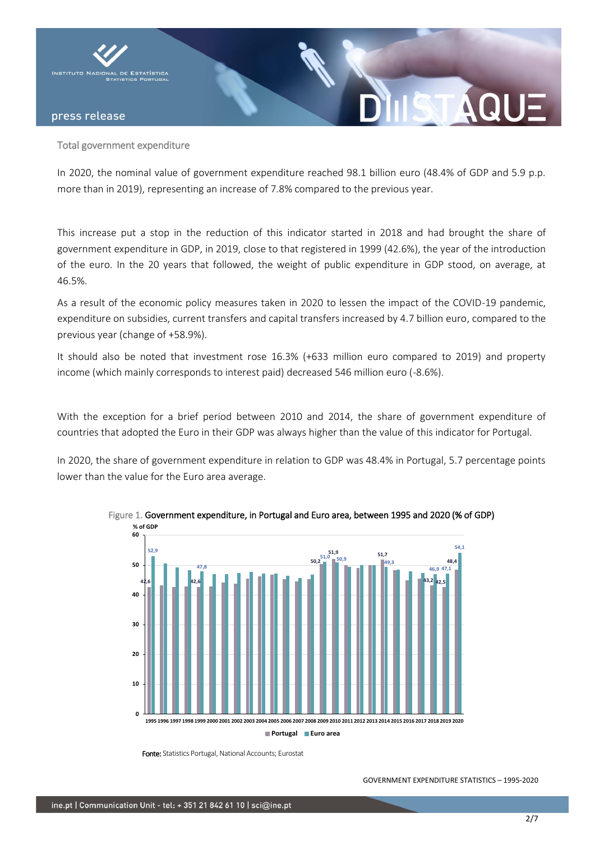

#### Total government expenditure

In 2020, the nominal value of government expenditure reached 98.1 billion euro (48.4% of GDP and 5.9 p.p. more than in 2019), representing an increase of 7.8% compared to the previous year.

This increase put a stop in the reduction of this indicator started in 2018 and had brought the share of government expenditure in GDP, in 2019, close to that registered in 1999 (42.6%), the year of the introduction of the euro. In the 20 years that followed, the weight of public expenditure in GDP stood, on average, at 46.5%.

As a result of the economic policy measures taken in 2020 to lessen the impact of the COVID-19 pandemic, expenditure on subsidies, current transfers and capital transfers increased by 4.7 billion euro, compared to the previous year (change of +58.9%).

It should also be noted that investment rose 16.3% (+633 million euro compared to 2019) and property income (which mainly corresponds to interest paid) decreased 546 million euro (-8.6%).

With the exception for a brief period between 2010 and 2014, the share of government expenditure of countries that adopted the Euro in their GDP was always higher than the value of this indicator for Portugal.

In 2020, the share of government expenditure in relation to GDP was 48.4% in Portugal, 5.7 percentage points lower than the value for the Euro area average.



Figure 1. Government expenditure, in Portugal and Euro area, between 1995 and 2020 (% of GDP) **% of GDP**

Fonte: Statistics Portugal, National Accounts; Eurostat

GOVERNMENT EXPENDITURE STATISTICS – 1995-2020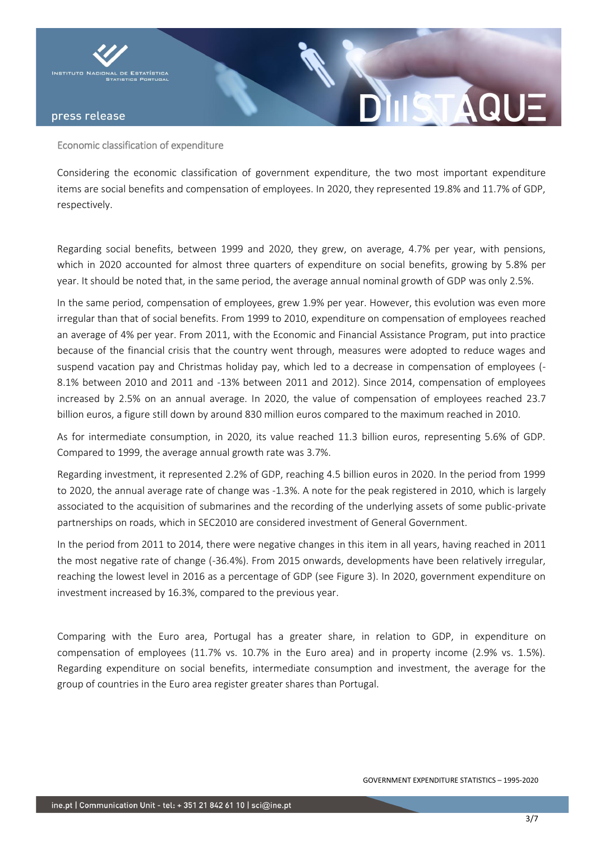

Economic classification of expenditure

Considering the economic classification of government expenditure, the two most important expenditure items are social benefits and compensation of employees. In 2020, they represented 19.8% and 11.7% of GDP, respectively.

Regarding social benefits, between 1999 and 2020, they grew, on average, 4.7% per year, with pensions, which in 2020 accounted for almost three quarters of expenditure on social benefits, growing by 5.8% per year. It should be noted that, in the same period, the average annual nominal growth of GDP was only 2.5%.

In the same period, compensation of employees, grew 1.9% per year. However, this evolution was even more irregular than that of social benefits. From 1999 to 2010, expenditure on compensation of employees reached an average of 4% per year. From 2011, with the Economic and Financial Assistance Program, put into practice because of the financial crisis that the country went through, measures were adopted to reduce wages and suspend vacation pay and Christmas holiday pay, which led to a decrease in compensation of employees (- 8.1% between 2010 and 2011 and -13% between 2011 and 2012). Since 2014, compensation of employees increased by 2.5% on an annual average. In 2020, the value of compensation of employees reached 23.7 billion euros, a figure still down by around 830 million euros compared to the maximum reached in 2010.

As for intermediate consumption, in 2020, its value reached 11.3 billion euros, representing 5.6% of GDP. Compared to 1999, the average annual growth rate was 3.7%.

Regarding investment, it represented 2.2% of GDP, reaching 4.5 billion euros in 2020. In the period from 1999 to 2020, the annual average rate of change was -1.3%. A note for the peak registered in 2010, which is largely associated to the acquisition of submarines and the recording of the underlying assets of some public-private partnerships on roads, which in SEC2010 are considered investment of General Government.

In the period from 2011 to 2014, there were negative changes in this item in all years, having reached in 2011 the most negative rate of change (-36.4%). From 2015 onwards, developments have been relatively irregular, reaching the lowest level in 2016 as a percentage of GDP (see Figure 3). In 2020, government expenditure on investment increased by 16.3%, compared to the previous year.

Comparing with the Euro area, Portugal has a greater share, in relation to GDP, in expenditure on compensation of employees (11.7% vs. 10.7% in the Euro area) and in property income (2.9% vs. 1.5%). Regarding expenditure on social benefits, intermediate consumption and investment, the average for the group of countries in the Euro area register greater shares than Portugal.

STA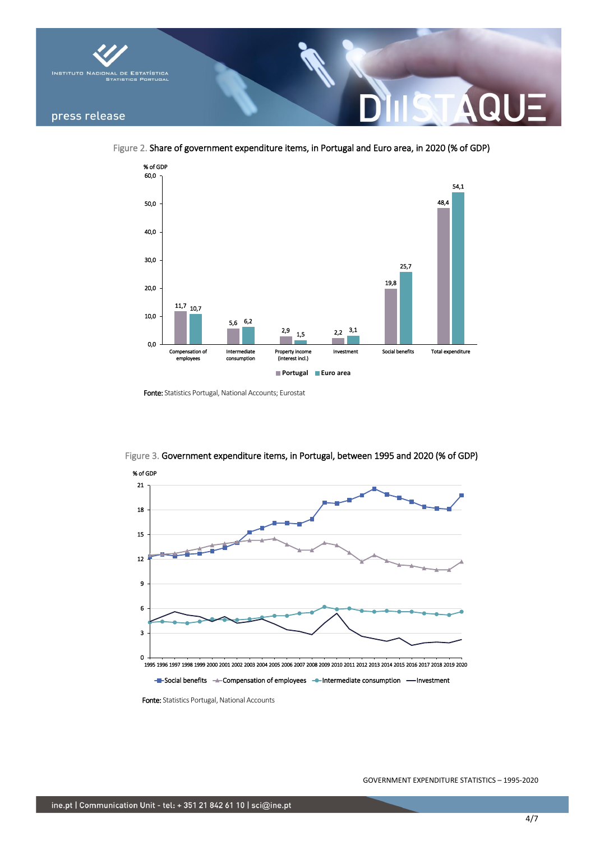

Figure 2. Share of government expenditure items, in Portugal and Euro area, in 2020 (% of GDP)



Fonte: Statistics Portugal, National Accounts; Eurostat



Figure 3. Government expenditure items, in Portugal, between 1995 and 2020 (% of GDP)

Fonte: Statistics Portugal, National Accounts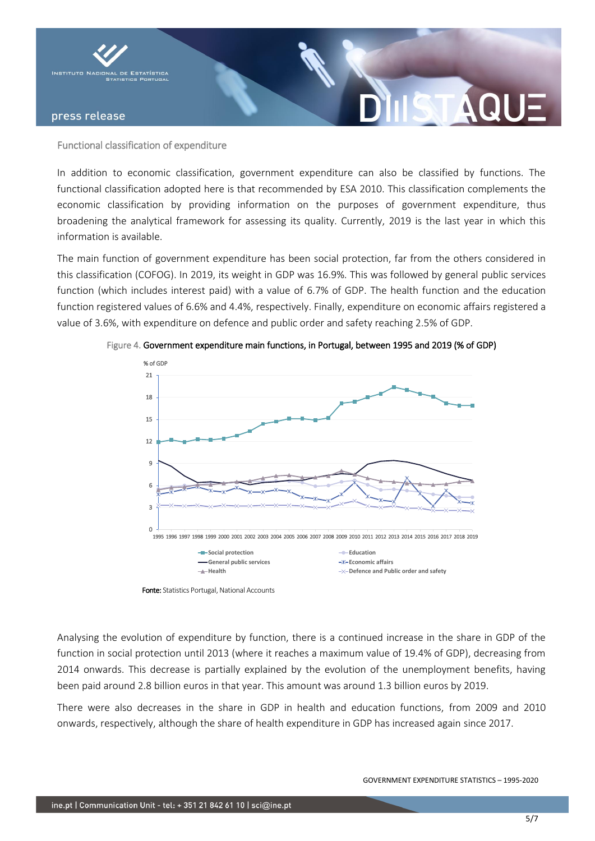

#### Functional classification of expenditure

In addition to economic classification, government expenditure can also be classified by functions. The functional classification adopted here is that recommended by ESA 2010. This classification complements the economic classification by providing information on the purposes of government expenditure, thus broadening the analytical framework for assessing its quality. Currently, 2019 is the last year in which this information is available.

The main function of government expenditure has been social protection, far from the others considered in this classification (COFOG). In 2019, its weight in GDP was 16.9%. This was followed by general public services function (which includes interest paid) with a value of 6.7% of GDP. The health function and the education function registered values of 6.6% and 4.4%, respectively. Finally, expenditure on economic affairs registered a value of 3.6%, with expenditure on defence and public order and safety reaching 2.5% of GDP.



Figure 4. Government expenditure main functions, in Portugal, between 1995 and 2019 (% of GDP)

Fonte: Statistics Portugal, National Accounts

Analysing the evolution of expenditure by function, there is a continued increase in the share in GDP of the function in social protection until 2013 (where it reaches a maximum value of 19.4% of GDP), decreasing from 2014 onwards. This decrease is partially explained by the evolution of the unemployment benefits, having been paid around 2.8 billion euros in that year. This amount was around 1.3 billion euros by 2019.

There were also decreases in the share in GDP in health and education functions, from 2009 and 2010 onwards, respectively, although the share of health expenditure in GDP has increased again since 2017.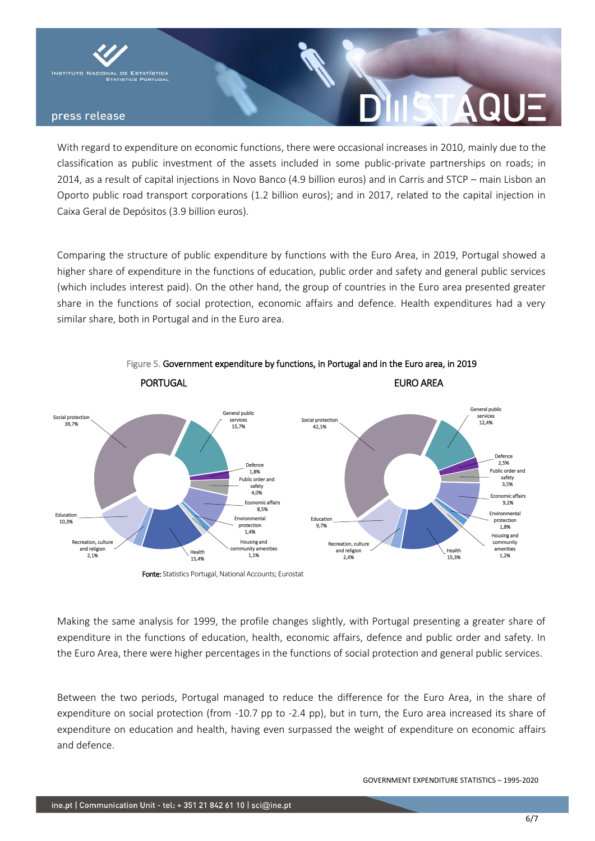

With regard to expenditure on economic functions, there were occasional increases in 2010, mainly due to the classification as public investment of the assets included in some public-private partnerships on roads; in 2014, as a result of capital injections in Novo Banco (4.9 billion euros) and in Carris and STCP – main Lisbon an Oporto public road transport corporations (1.2 billion euros); and in 2017, related to the capital injection in Caixa Geral de Depósitos (3.9 billion euros).

Comparing the structure of public expenditure by functions with the Euro Area, in 2019, Portugal showed a higher share of expenditure in the functions of education, public order and safety and general public services (which includes interest paid). On the other hand, the group of countries in the Euro area presented greater share in the functions of social protection, economic affairs and defence. Health expenditures had a very similar share, both in Portugal and in the Euro area.



Figure 5. Government expenditure by functions, in Portugal and in the Euro area, in 2019

Fonte: Statistics Portugal, National Accounts; Eurostat

Making the same analysis for 1999, the profile changes slightly, with Portugal presenting a greater share of expenditure in the functions of education, health, economic affairs, defence and public order and safety. In the Euro Area, there were higher percentages in the functions of social protection and general public services.

Between the two periods, Portugal managed to reduce the difference for the Euro Area, in the share of expenditure on social protection (from -10.7 pp to -2.4 pp), but in turn, the Euro area increased its share of expenditure on education and health, having even surpassed the weight of expenditure on economic affairs and defence.